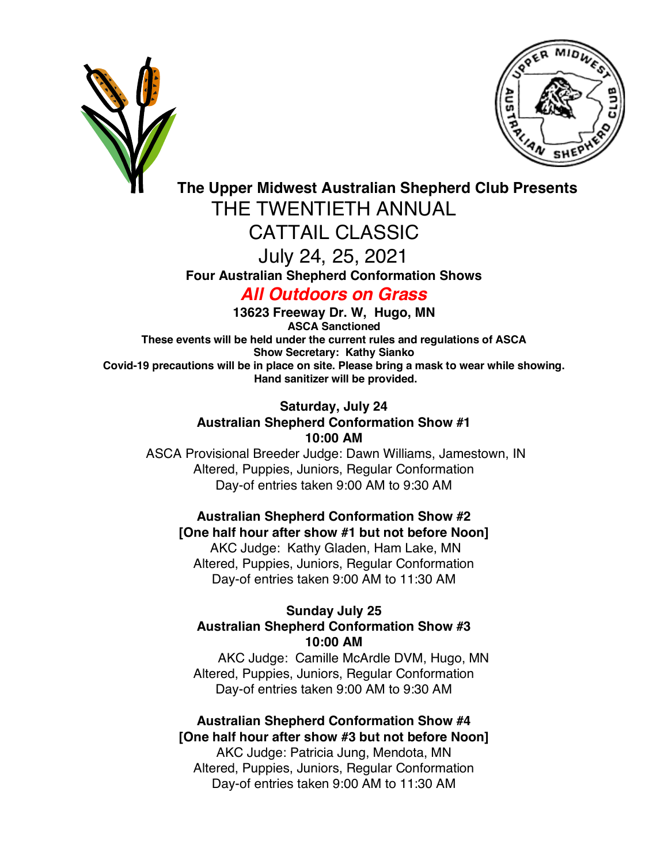



**The Upper Midwest Australian Shepherd Club Presents**

THE TWENTIETH ANNUAL

CATTAIL CLASSIC

July 24, 25, 2021

**Four Australian Shepherd Conformation Shows**

*All Outdoors on Grass*

**13623 Freeway Dr. W, Hugo, MN ASCA Sanctioned These events will be held under the current rules and regulations of ASCA Show Secretary: Kathy Sianko Covid-19 precautions will be in place on site. Please bring a mask to wear while showing. Hand sanitizer will be provided.**

> **Saturday, July 24 Australian Shepherd Conformation Show #1 10:00 AM**

ASCA Provisional Breeder Judge: Dawn Williams, Jamestown, IN Altered, Puppies, Juniors, Regular Conformation Day-of entries taken 9:00 AM to 9:30 AM

**Australian Shepherd Conformation Show #2 [One half hour after show #1 but not before Noon]**

AKC Judge: Kathy Gladen, Ham Lake, MN Altered, Puppies, Juniors, Regular Conformation Day-of entries taken 9:00 AM to 11:30 AM

### **Sunday July 25 Australian Shepherd Conformation Show #3 10:00 AM**

AKC Judge: Camille McArdle DVM, Hugo, MN Altered, Puppies, Juniors, Regular Conformation Day-of entries taken 9:00 AM to 9:30 AM

**Australian Shepherd Conformation Show #4 [One half hour after show #3 but not before Noon]** AKC Judge: Patricia Jung, Mendota, MN Altered, Puppies, Juniors, Regular Conformation Day-of entries taken 9:00 AM to 11:30 AM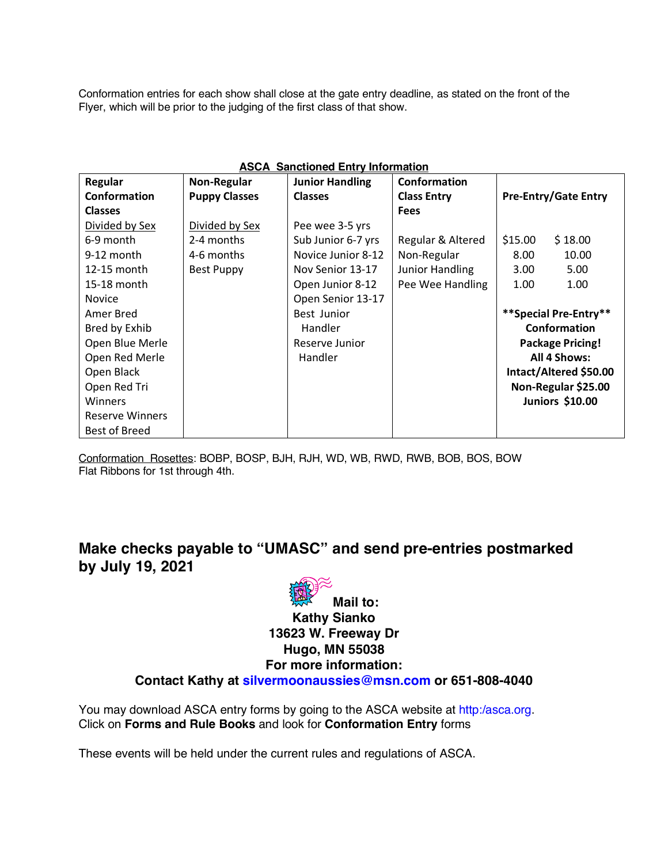Conformation entries for each show shall close at the gate entry deadline, as stated on the front of the Flyer, which will be prior to the judging of the first class of that show.

| <b>ASCA Sanctioned Entry Information</b> |                      |                        |                        |                             |
|------------------------------------------|----------------------|------------------------|------------------------|-----------------------------|
| Regular                                  | <b>Non-Regular</b>   | <b>Junior Handling</b> | Conformation           |                             |
| Conformation                             | <b>Puppy Classes</b> | <b>Classes</b>         | <b>Class Entry</b>     | <b>Pre-Entry/Gate Entry</b> |
| <b>Classes</b>                           |                      |                        | <b>Fees</b>            |                             |
| Divided by Sex                           | Divided by Sex       | Pee wee 3-5 yrs        |                        |                             |
| 6-9 month                                | 2-4 months           | Sub Junior 6-7 yrs     | Regular & Altered      | \$15.00<br>\$18.00          |
| $9-12$ month                             | 4-6 months           | Novice Junior 8-12     | Non-Regular            | 8.00<br>10.00               |
| 12-15 month                              | <b>Best Puppy</b>    | Nov Senior 13-17       | <b>Junior Handling</b> | 5.00<br>3.00 <sub>1</sub>   |
| 15-18 month                              |                      | Open Junior 8-12       | Pee Wee Handling       | 1.00<br>1.00                |
| <b>Novice</b>                            |                      | Open Senior 13-17      |                        |                             |
| Amer Bred                                |                      | Best Junior            |                        | **Special Pre-Entry**       |
| Bred by Exhib                            |                      | Handler                |                        | <b>Conformation</b>         |
| Open Blue Merle                          |                      | Reserve Junior         |                        | <b>Package Pricing!</b>     |
| Open Red Merle                           |                      | Handler                |                        | All 4 Shows:                |
| Open Black                               |                      |                        |                        | Intact/Altered \$50.00      |
| Open Red Tri                             |                      |                        |                        | Non-Regular \$25.00         |
| <b>Winners</b>                           |                      |                        |                        | <b>Juniors \$10.00</b>      |
| <b>Reserve Winners</b>                   |                      |                        |                        |                             |
| <b>Best of Breed</b>                     |                      |                        |                        |                             |

Conformation Rosettes: BOBP, BOSP, BJH, RJH, WD, WB, RWD, RWB, BOB, BOS, BOW Flat Ribbons for 1st through 4th.

## **Make checks payable to "UMASC" and send pre-entries postmarked by July 19, 2021**



You may download ASCA entry forms by going to the ASCA website at http:/asca.org. Click on **Forms and Rule Books** and look for **Conformation Entry** forms

These events will be held under the current rules and regulations of ASCA.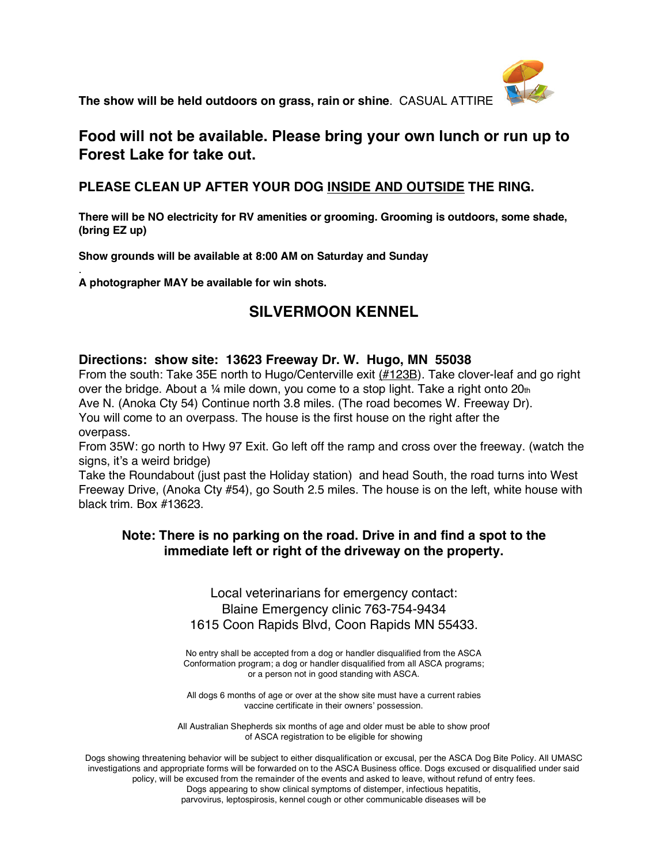

**The show will be held outdoors on grass, rain or shine**. CASUAL ATTIRE

### **Food will not be available. Please bring your own lunch or run up to Forest Lake for take out.**

#### **PLEASE CLEAN UP AFTER YOUR DOG INSIDE AND OUTSIDE THE RING.**

**There will be NO electricity for RV amenities or grooming. Grooming is outdoors, some shade, (bring EZ up)**

**Show grounds will be available at 8:00 AM on Saturday and Sunday**

. **A photographer MAY be available for win shots.**

### **SILVERMOON KENNEL**

#### **Directions: show site: 13623 Freeway Dr. W. Hugo, MN 55038**

From the south: Take 35E north to Hugo/Centerville exit (#123B). Take clover-leaf and go right over the bridge. About a 1/4 mile down, you come to a stop light. Take a right onto 20th Ave N. (Anoka Cty 54) Continue north 3.8 miles. (The road becomes W. Freeway Dr). You will come to an overpass. The house is the first house on the right after the overpass.

From 35W: go north to Hwy 97 Exit. Go left off the ramp and cross over the freeway. (watch the signs, it's a weird bridge)

Take the Roundabout (just past the Holiday station) and head South, the road turns into West Freeway Drive, (Anoka Cty #54), go South 2.5 miles. The house is on the left, white house with black trim. Box #13623.

#### **Note: There is no parking on the road. Drive in and find a spot to the immediate left or right of the driveway on the property.**

Local veterinarians for emergency contact: Blaine Emergency clinic 763-754-9434 1615 Coon Rapids Blvd, Coon Rapids MN 55433.

No entry shall be accepted from a dog or handler disqualified from the ASCA Conformation program; a dog or handler disqualified from all ASCA programs; or a person not in good standing with ASCA.

All dogs 6 months of age or over at the show site must have a current rabies vaccine certificate in their owners' possession.

All Australian Shepherds six months of age and older must be able to show proof of ASCA registration to be eligible for showing

Dogs showing threatening behavior will be subject to either disqualification or excusal, per the ASCA Dog Bite Policy. All UMASC investigations and appropriate forms will be forwarded on to the ASCA Business office. Dogs excused or disqualified under said policy, will be excused from the remainder of the events and asked to leave, without refund of entry fees. Dogs appearing to show clinical symptoms of distemper, infectious hepatitis, parvovirus, leptospirosis, kennel cough or other communicable diseases will be